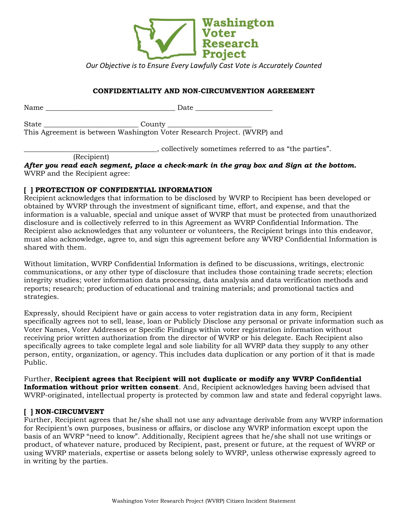

*Our Objective is to Ensure Every Lawfully Cast Vote is Accurately Counted*

### **CONFIDENTIALITY AND NON-CIRCUMVENTION AGREEMENT**

| Name  | Date                                                                    |  |
|-------|-------------------------------------------------------------------------|--|
| State |                                                                         |  |
|       | This Agreement is between Washington Voter Research Project. (WVRP) and |  |
|       | collectively sometimes referred to as "the parties".                    |  |

(Recipient)

*After you read each segment, place a check-mark in the gray box and Sign at the bottom.*  WVRP and the Recipient agree:

### **[ ] PROTECTION OF CONFIDENTIAL INFORMATION**

Recipient acknowledges that information to be disclosed by WVRP to Recipient has been developed or obtained by WVRP through the investment of significant time, effort, and expense, and that the information is a valuable, special and unique asset of WVRP that must be protected from unauthorized disclosure and is collectively referred to in this Agreement as WVRP Confidential Information. The Recipient also acknowledges that any volunteer or volunteers, the Recipient brings into this endeavor, must also acknowledge, agree to, and sign this agreement before any WVRP Confidential Information is shared with them.

Without limitation, WVRP Confidential Information is defined to be discussions, writings, electronic communications, or any other type of disclosure that includes those containing trade secrets; election integrity studies; voter information data processing, data analysis and data verification methods and reports; research; production of educational and training materials; and promotional tactics and strategies.

Expressly, should Recipient have or gain access to voter registration data in any form, Recipient specifically agrees not to sell, lease, loan or Publicly Disclose any personal or private information such as Voter Names, Voter Addresses or Specific Findings within voter registration information without receiving prior written authorization from the director of WVRP or his delegate. Each Recipient also specifically agrees to take complete legal and sole liability for all WVRP data they supply to any other person, entity, organization, or agency. This includes data duplication or any portion of it that is made Public.

Further, **Recipient agrees that Recipient will not duplicate or modify any WVRP Confidential Information without prior written consent**. And, Recipient acknowledges having been advised that WVRP-originated, intellectual property is protected by common law and state and federal copyright laws.

# **[ ] NON-CIRCUMVENT**

Further, Recipient agrees that he/she shall not use any advantage derivable from any WVRP information for Recipient's own purposes, business or affairs, or disclose any WVRP information except upon the basis of an WVRP "need to know". Additionally, Recipient agrees that he/she shall not use writings or product, of whatever nature, produced by Recipient, past, present or future, at the request of WVRP or using WVRP materials, expertise or assets belong solely to WVRP, unless otherwise expressly agreed to in writing by the parties.